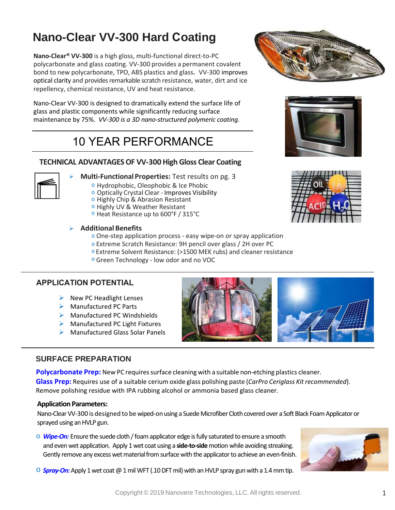## **Nano-Clear VV-300 Hard Coating**

**Nano-Clear® VV-300** is a high gloss, multi-functional direct-to-PC polycarbonate and glass coating. VV-300 provides a permanent covalent bond to new polycarbonate, TPO, ABS plastics and glass**.** VV-300 improves optical clarity and provides remarkable scratch resistance, water, dirt and ice repellency, chemical resistance, UV and heat resistance.

Nano-Clear VV-300 is designed to dramatically extend the surface life of glass and plastic components while significantly reducing surface maintenance by 75%. *VV-300 is a 3D nano-structured polymeric coating.*

# 10 YEAR PERFORMANCE

### **TECHNICAL ADVANTAGES OF VV-300 High Gloss Clear Coating**



- **Multi-FunctionalProperties:** Test results on pg. 3
	- o Hydrophobic, Oleophobic & Ice Phobic
	- o Optically Crystal Clear Improves Visibility
	- o Highly Chip & Abrasion Resistant
	- o Highly UV & Weather Resistant
	- o Heat Resistance up to 600°F / 315°C

#### **Additional Benefits**

- o One-step application process easy wipe-on or spray application
- o Extreme Scratch Resistance: 9H pencil over glass / 2H over PC
- o Extreme Solvent Resistance: (>1500 MEK rubs) and cleaner resistance
- o Green Technology low odor and no VOC

### **APPLICATION POTENTIAL**

- $\triangleright$  New PC Headlight Lenses
- **▶ Manufactured PC Parts**
- $\triangleright$  Manufactured PC Windshields
- $\triangleright$  Manufactured PC Light Fixtures
- ▶ Manufactured Glass Solar Panels

### **SURFACE PREPARATION**

**Polycarbonate Prep:** New PC requires surface cleaning with a suitable non-etching plastics cleaner. **Glass Prep:** Requires use of a suitable cerium oxide glass polishing paste (*CarPro Ceriglass Kit recommended*). Remove polishing residue with IPA rubbing alcohol or ammonia based glass cleaner.

#### **Application Parameters:**

Nano-Clear VV-300 is designed to be wiped-on using a Suede Microfiber Cloth covered over a Soft Black Foam Applicatoror sprayed using an HVLP gun.

o *Wipe-On:* Ensure the suede cloth / foam applicator edge is fully saturated to ensure a smooth and even wet application. Apply 1wet coat using a **side-to-side** motion while avoiding streaking. Gently remove any excess wet material from surface with the applicator to achieve an even-finish.



 $\circ$  **Spray-On:** Apply 1 wet coat @ 1 mil WFT (.10 DFT mil) with an HVLP spray gun with a 1.4 mm tip.





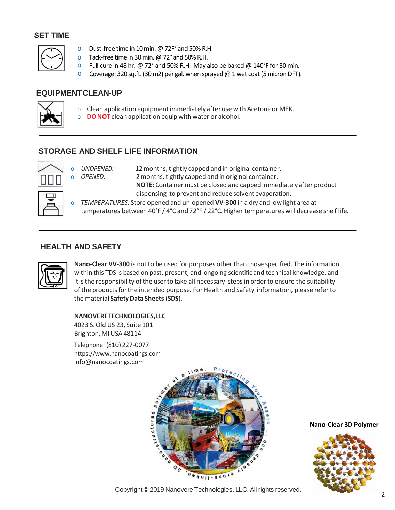#### **SET TIME**



- o Dust-free time in 10 min. @72F° and 50% R.H.
- $\circ$  Tack-free time in 30 min. @ 72° and 50% R.H.
- $\circ$  Full cure in 48 hr. @ 72° and 50% R.H. May also be baked @ 140°F for 30 min.
- o Coverage: 320 sq.ft. (30m2) per gal. when sprayed @ 1 wet coat(5 micron DFT).

### **EQUIPMENTCLEAN-UP**



- o Clean application equipmentimmediately after use with Acetone or MEK.
- o **DO NOT** clean application equip with water or alcohol.

## **STORAGE AND SHELF LIFE INFORMATION**



o *UNOPENED:* 12months,tightly capped and in original container. o *OPENED:* 2 months, tightly capped and in original container. **NOTE:** Container must be closed and capped immediately after product dispensing to prevent and reduce solvent evaporation.

o *TEMPERATURES:* Store opened and un-opened **VV-300** in a dry and low light area at temperatures between 40°F / 4°C and 72°F / 22°C. Higher temperatures will decrease shelf life.

## **HEALTH AND SAFETY**



**Nano-Clear VV-300** is not to be used for purposes other than those specified. The information within this TDS is based on past, present, and ongoing scientific and technical knowledge, and it is the responsibility of the user to take all necessary steps in order to ensure the suitability of the products for the intended purpose. For Health and Safety information, please refer to the material **[SafetyData](http://www.nanocoatings.com/) Sheets**(**SDS**).

#### **[NANOVERETECHNOLOGI](mailto:info@nanocoatings.com)ES,LLC**

4023 S.Old US 23, Suite 101 Brighton, MI USA 48114

Telephone: (810) 227-0077 https://www.nanocoatings.com info@nanocoatings.com



**Nano-Clear 3D Polymer**



<sup>2</sup> Copyright © 201<sup>9</sup> Nanovere Technologies, LLC. All rights reserved.